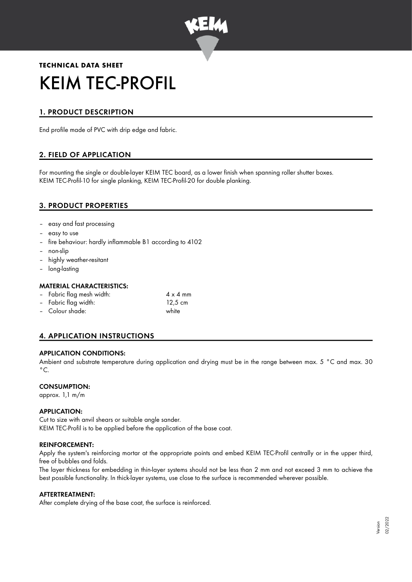

# **TECHNICAL DATA SHEET** KEIM TEC-PROFIL

# 1. PRODUCT DESCRIPTION

End profile made of PVC with drip edge and fabric.

# 2. FIELD OF APPLICATION

For mounting the single or double-layer KEIM TEC board, as a lower finish when spanning roller shutter boxes. KEIM TEC-Profil-10 for single planking, KEIM TEC-Profil-20 for double planking.

## 3. PRODUCT PROPERTIES

- easy and fast processing
- easy to use
- fire behaviour: hardly inflammable B1 according to 4102
- non-slip
- highly weather-resitant
- long-lasting

#### MATERIAL CHARACTERISTICS:

| - Fabric flag mesh width: | $4 \times 4$ mm |
|---------------------------|-----------------|
| - Fabric flag width:      | 12,5 cm         |
| - Colour shade:           | white           |

# 4. APPLICATION INSTRUCTIONS

#### APPLICATION CONDITIONS:

Ambient and substrate temperature during application and drying must be in the range between max. 5 °C and max. 30  $^{\circ}$ C.

#### CONSUMPTION:

approx. 1,1 m/m

#### APPLICATION:

Cut to size with anvil shears or suitable angle sander. KEIM TEC-Profil is to be applied before the application of the base coat.

#### REINFORCEMENT:

Apply the system's reinforcing mortar at the appropriate points and embed KEIM TEC-Profil centrally or in the upper third, free of bubbles and folds.

The layer thickness for embedding in thin-layer systems should not be less than 2 mm and not exceed 3 mm to achieve the best possible functionality. In thick-layer systems, use close to the surface is recommended wherever possible.

#### AFTERTREATMENT:

After complete drying of the base coat, the surface is reinforced.